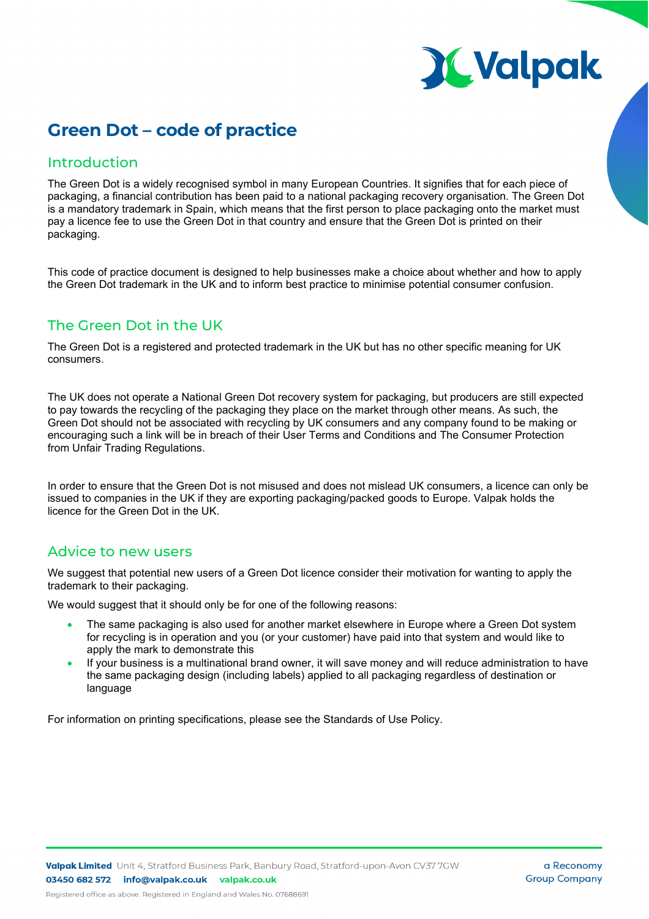# **X Valpak**

## **Green Dot – code of practice**

### Introduction

The Green Dot is a widely recognised symbol in many European Countries. It signifies that for each piece of packaging, a financial contribution has been paid to a national packaging recovery organisation. The Green Dot is a mandatory trademark in Spain, which means that the first person to place packaging onto the market must pay a licence fee to use the Green Dot in that country and ensure that the Green Dot is printed on their packaging.

This code of practice document is designed to help businesses make a choice about whether and how to apply the Green Dot trademark in the UK and to inform best practice to minimise potential consumer confusion.

## The Green Dot in the UK

The Green Dot is a registered and protected trademark in the UK but has no other specific meaning for UK consumers.

The UK does not operate a National Green Dot recovery system for packaging, but producers are still expected to pay towards the recycling of the packaging they place on the market through other means. As such, the Green Dot should not be associated with recycling by UK consumers and any company found to be making or encouraging such a link will be in breach of their User Terms and Conditions and The Consumer Protection from Unfair Trading Regulations.

In order to ensure that the Green Dot is not misused and does not mislead UK consumers, a licence can only be issued to companies in the UK if they are exporting packaging/packed goods to Europe. Valpak holds the licence for the Green Dot in the UK.

### Advice to new users

We suggest that potential new users of a Green Dot licence consider their motivation for wanting to apply the trademark to their packaging.

We would suggest that it should only be for one of the following reasons:

- The same packaging is also used for another market elsewhere in Europe where a Green Dot system for recycling is in operation and you (or your customer) have paid into that system and would like to apply the mark to demonstrate this
- If your business is a multinational brand owner, it will save money and will reduce administration to have the same packaging design (including labels) applied to all packaging regardless of destination or language

For information on printing specifications, please see the Standards of Use Policy.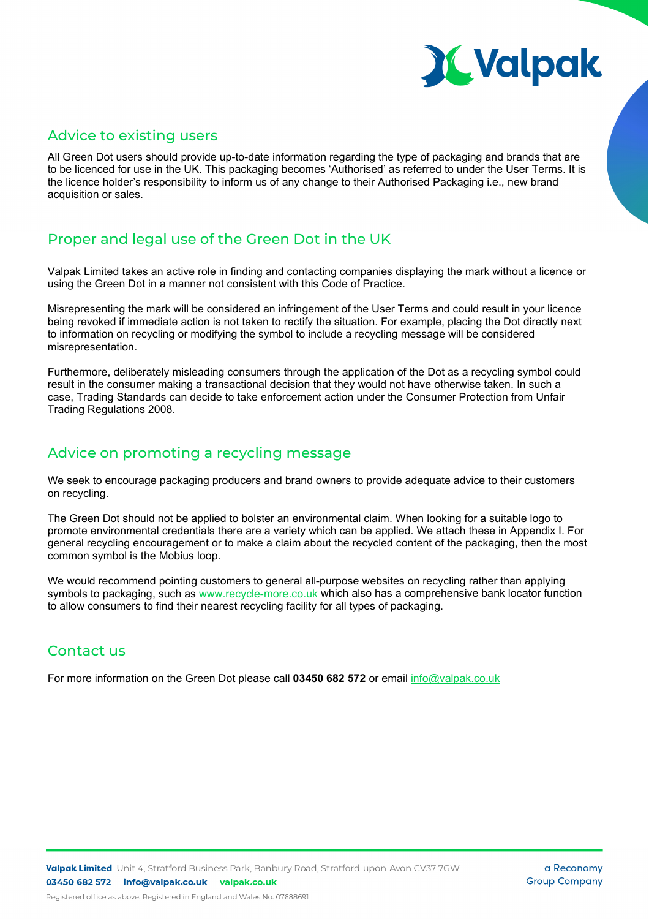

#### Advice to existing users

All Green Dot users should provide up-to-date information regarding the type of packaging and brands that are to be licenced for use in the UK. This packaging becomes 'Authorised' as referred to under the User Terms. It is the licence holder's responsibility to inform us of any change to their Authorised Packaging i.e., new brand acquisition or sales.

## Proper and legal use of the Green Dot in the UK

Valpak Limited takes an active role in finding and contacting companies displaying the mark without a licence or using the Green Dot in a manner not consistent with this Code of Practice.

Misrepresenting the mark will be considered an infringement of the User Terms and could result in your licence being revoked if immediate action is not taken to rectify the situation. For example, placing the Dot directly next to information on recycling or modifying the symbol to include a recycling message will be considered misrepresentation.

Furthermore, deliberately misleading consumers through the application of the Dot as a recycling symbol could result in the consumer making a transactional decision that they would not have otherwise taken. In such a case, Trading Standards can decide to take enforcement action under the Consumer Protection from Unfair Trading Regulations 2008.

## Advice on promoting a recycling message

We seek to encourage packaging producers and brand owners to provide adequate advice to their customers on recycling.

The Green Dot should not be applied to bolster an environmental claim. When looking for a suitable logo to promote environmental credentials there are a variety which can be applied. We attach these in Appendix I. For general recycling encouragement or to make a claim about the recycled content of the packaging, then the most common symbol is the Mobius loop.

We would recommend pointing customers to general all-purpose websites on recycling rather than applying symbols to packaging, such as www.recycle-more.co.uk which also has a comprehensive bank locator function to allow consumers to find their nearest recycling facility for all types of packaging.

## Contact us

For more information on the Green Dot please call **03450 682 572** or email [info@valpak.co.uk](mailto:info@valpak.co.uk?subject=Green_Dot_Enquiry)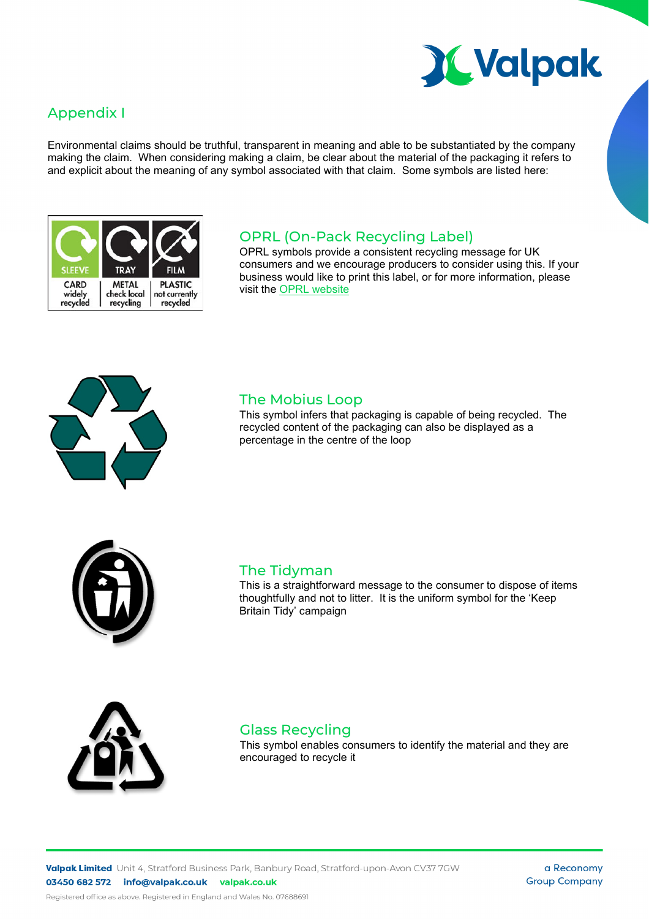

## Appendix I

Environmental claims should be truthful, transparent in meaning and able to be substantiated by the company making the claim. When considering making a claim, be clear about the material of the packaging it refers to and explicit about the meaning of any symbol associated with that claim. Some symbols are listed here:



#### OPRL (On-Pack Recycling Label)

OPRL symbols provide a consistent recycling message for UK consumers and we encourage producers to consider using this. If your business would like to print this label, or for more information, please visit the [OPRL website](https://www.oprl.org.uk/)



#### The Mobius Loop

This symbol infers that packaging is capable of being recycled. The recycled content of the packaging can also be displayed as a percentage in the centre of the loop



#### The Tidyman

This is a straightforward message to the consumer to dispose of items thoughtfully and not to litter. It is the uniform symbol for the 'Keep Britain Tidy' campaign



#### Glass Recycling

This symbol enables consumers to identify the material and they are encouraged to recycle it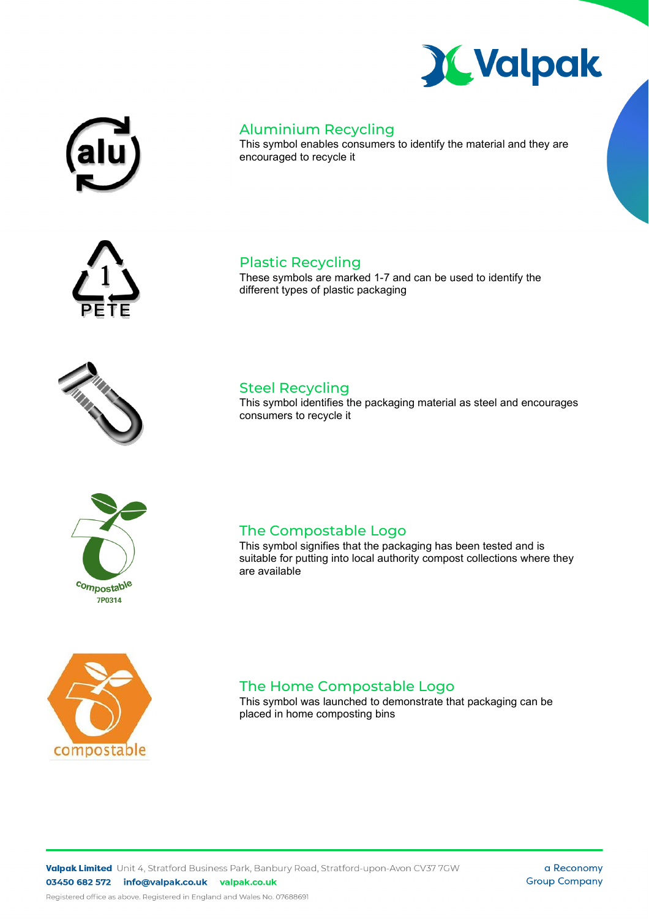





This symbol enables consumers to identify the material and they are encouraged to recycle it

These symbols are marked 1-7 and can be used to identify the









Plastic Recycling

different types of plastic packaging

This symbol identifies the packaging material as steel and encourages consumers to recycle it

#### This symbol signifies that the packaging has been tested and is suitable for putting into local authority compost collections where they

are available

The Compostable Logo



The Home Compostable Logo This symbol was launched to demonstrate that packaging can be placed in home composting bins

a Reconomy **Group Company**